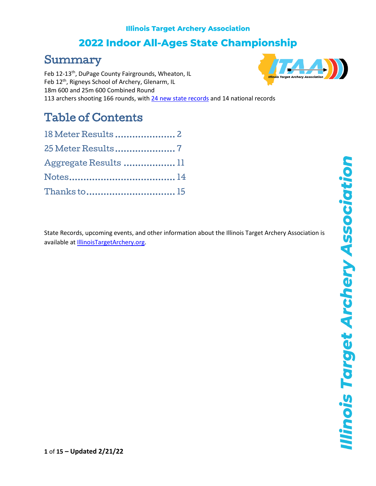# 2022 Indoor All-Ages State Championship

# Summary

Feb 12-13<sup>th</sup>, DuPage County Fairgrounds, Wheaton, IL Feb 12<sup>th</sup>, Rigneys School of Archery, Glenarm, IL 18m 600 and 25m 600 Combined Round 113 archers shooting 166 rounds, with 24 [new state records](http://illinoistargetarchery.org/itaa-state-records/?format=All&equip=All&age=All&gender=All&event=ITAA+State+Indoor&eventYear=2022&limit=-1) and 14 national records

# Table of Contents

| 18 Meter Results 2    |  |
|-----------------------|--|
| 25 Meter Results7     |  |
| Aggregate Results  11 |  |
|                       |  |
|                       |  |

State Records, upcoming events, and other information about the Illinois Target Archery Association is available a[t IllinoisTargetArchery.org.](http://illinoistargetarchery.org/)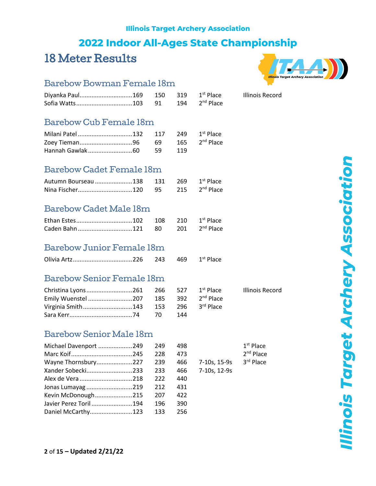# 2022 Indoor All-Ages State Championship

# <span id="page-1-0"></span>18 Meter Results



**Illinois Record** 

### Barebow Bowman Female 18m

|  | 91 | 194 | 2 <sup>nd</sup> Place |
|--|----|-----|-----------------------|

#### Barebow Cub Female 18m

| Milani Patel         132 117 249 1st Place |  |  |
|--------------------------------------------|--|--|
|                                            |  |  |
|                                            |  |  |

### Barebow Cadet Female 18m

| Autumn Bourseau 138 131 269 1st Place |  |  |
|---------------------------------------|--|--|
|                                       |  |  |

#### Barebow Cadet Male 18m

#### Barebow Junior Female 18m

#### Barebow Senior Female 18m

| Emily Wuenstel  207 185 392 2 <sup>nd</sup> Place |  |     |  |
|---------------------------------------------------|--|-----|--|
| Virginia Smith143 153 296 3rd Place               |  |     |  |
|                                                   |  | 144 |  |

#### Barebow Senior Male 18m

| Michael Davenport 249   | 249 | 498 |              | $1st$ Place |
|-------------------------|-----|-----|--------------|-------------|
|                         | 228 | 473 |              | $2nd$ Place |
| Wayne Thornsbury227     | 239 | 466 | 7-10s, 15-9s | 3rd Place   |
| Xander Sobecki233       | 233 | 466 | 7-10s, 12-9s |             |
| Alex de Vera 218        | 222 | 440 |              |             |
| Jonas Lumayag 219       | 212 | 431 |              |             |
| Kevin McDonough215      | 207 | 422 |              |             |
| Javier Perez Toril  194 | 196 | 390 |              |             |
| Daniel McCarthy123      | 133 | 256 |              |             |

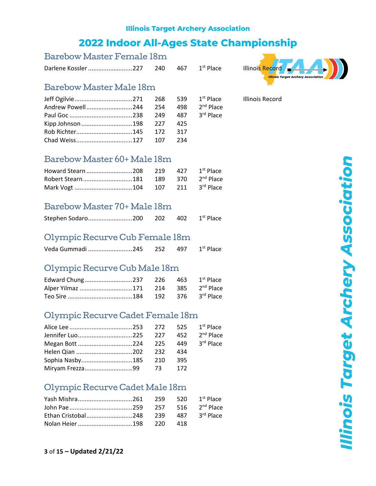#### Barebow Master Female 18m

Darlene Kossler..........................227 240 467 1



#### Barebow Master Male 18m

#### Barebow Master 60+ Male 18m

#### Barebow Master 70+ Male 18m

|--|--|--|--|

#### Olympic Recurve Cub Female 18m

| Veda Gummadi 245 252 497 1 <sup>st</sup> Place |  |  |
|------------------------------------------------|--|--|
|------------------------------------------------|--|--|

### Olympic Recurve Cub Male 18m

| Alper Yilmaz 171 214 385 2 <sup>nd</sup> Place |  |  |
|------------------------------------------------|--|--|
|                                                |  |  |

#### Olympic Recurve Cadet Female 18m

| Sophia Nasby185 210 395 |  |  |
|-------------------------|--|--|
|                         |  |  |

### Olympic Recurve Cadet Male 18m

**Ilinois Target Archery Association**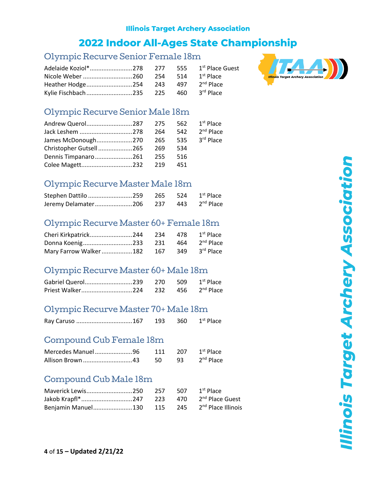# **2022 Indoor All-Ages State Championship**

#### Olympic Recurve Senior Female 18m

| Heather Hodge254 243 497 2 <sup>nd</sup> Place |  |  |
|------------------------------------------------|--|--|
| Kylie Fischbach235 225 460 3rd Place           |  |  |



### Olympic Recurve Senior Male 18m

| Andrew Querol287 275       |     |       | 562 1st Place             |
|----------------------------|-----|-------|---------------------------|
| Jack Leshem 278            | 264 |       | 542 2 <sup>nd</sup> Place |
| James McDonough270 265     |     |       | 535 3rd Place             |
| Christopher Gutsell265 269 |     | - 534 |                           |
| Dennis Timpanaro261 255    |     | - 516 |                           |
|                            |     | 451   |                           |

#### Olympic Recurve Master Male 18m

| Stephen Dattilo 259 265 524 1 <sup>st</sup> Place  |  |  |
|----------------------------------------------------|--|--|
| Jeremy Delamater 206 237 443 2 <sup>nd</sup> Place |  |  |

#### Olympic Recurve Master 60+ Female 18m

| Donna Koenig233 231 464 2 <sup>nd</sup> Place |  |               |
|-----------------------------------------------|--|---------------|
| Mary Farrow Walker182 167                     |  | 349 3rd Place |

### Olympic Recurve Master 60+ Male 18m

### Olympic Recurve Master 70+ Male 18m

#### Compound Cub Female 18m

| Mercedes Manuel96 | 111 207 | 1 <sup>st</sup> Place    |
|-------------------|---------|--------------------------|
| Allison Brown 43  | 50      | 93 2 <sup>nd</sup> Place |

#### Compound Cub Male 18m

| Maverick Lewis250                                         | 257 507 | 1 <sup>st</sup> Place |
|-----------------------------------------------------------|---------|-----------------------|
|                                                           |         |                       |
| Benjamin Manuel130 115 245 2 <sup>nd</sup> Place Illinois |         |                       |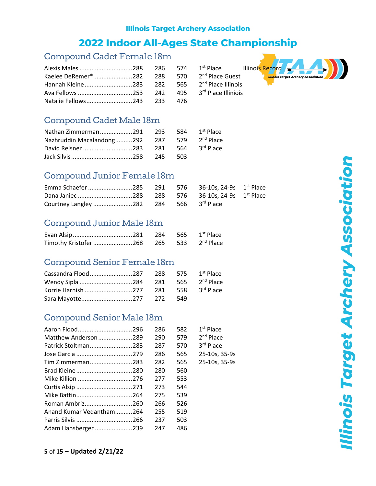### **2022 Indoor All-Ages State Championship**

#### Compound Cadet Female 18m

2<sup>nd</sup> Place Guest 2<sup>nd</sup> Place Illinois 3rd Place Illiniois



#### Compound Cadet Male 18m

| Nazhruddin Macalandong 292 287 579 2 <sup>nd</sup> Place |  |  |
|----------------------------------------------------------|--|--|
|                                                          |  |  |
|                                                          |  |  |

#### Compound Junior Female 18m

| Courtney Langley 282 284 566 3rd Place |  |  |  |
|----------------------------------------|--|--|--|

#### Compound Junior Male 18m

| Timothy Kristofer  268 265 533 2 <sup>nd</sup> Place |  |  |
|------------------------------------------------------|--|--|

#### Compound Senior Female 18m

| Wendy Sipla 284 281 565 2 <sup>nd</sup> Place |  |  |
|-----------------------------------------------|--|--|
|                                               |  |  |
|                                               |  |  |

#### Compound Senior Male 18m

|                          | 286 | 582 | $1st$ Place   |
|--------------------------|-----|-----|---------------|
| Matthew Anderson 289     | 290 | 579 | $2nd$ Place   |
| Patrick Stoltman283      | 287 | 570 | 3rd Place     |
|                          | 286 | 565 | 25-10s, 35-9s |
| Tim Zimmerman283         | 282 | 565 | 25-10s, 35-9s |
|                          | 280 | 560 |               |
| Mike Killion 276         | 277 | 553 |               |
|                          | 273 | 544 |               |
|                          | 275 | 539 |               |
| Roman Ambriz260          | 266 | 526 |               |
| Anand Kumar Vedantham264 | 255 | 519 |               |
|                          | 237 | 503 |               |
| Adam Hansberger 239      | 247 | 486 |               |

**Ilinois Target Archery Association**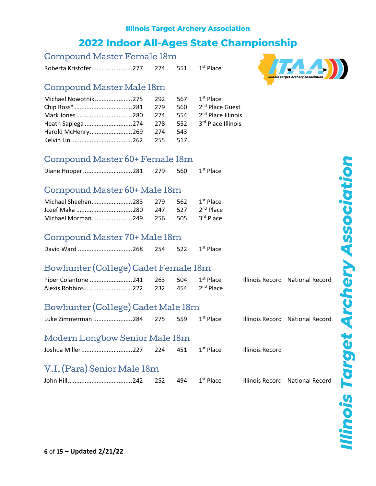| Compound Master Female 18m |
|----------------------------|
|----------------------------|

Roberta Kristofer...........................277 274 551  $1<sup>st</sup>$  Place

#### Compound Master Male 18m

### Compound Master 60+ Female 18m

### Compound Master 60+ Male 18m

#### Compound Master 70+ Male 18m

|  |  |  | 254 | 522 | 1 <sup>st</sup> Place |
|--|--|--|-----|-----|-----------------------|
|--|--|--|-----|-----|-----------------------|

### Bowhunter (College) Cadet Female 18m

|                                                  |  |  | Illinois Record National Record |
|--------------------------------------------------|--|--|---------------------------------|
| Alexis Robbins 222 232 454 2 <sup>nd</sup> Place |  |  |                                 |

### Bowhunter (College) Cadet Male 18m

| Illinois Record National Record |  |  |  |  |  |  |
|---------------------------------|--|--|--|--|--|--|
|---------------------------------|--|--|--|--|--|--|

#### Modern Longbow Senior Male 18m

| Joshua Miller 227 | 224 | 451 | 1 <sup>st</sup> Place | Illinois Record |
|-------------------|-----|-----|-----------------------|-----------------|
|                   |     |     |                       |                 |

### V.I. (Para) Senior Male 18m

| John Hill |  |  |
|-----------|--|--|
|           |  |  |

1<sup>st</sup> Place Illinois Record National Record



**Ilinois Target Archery Association**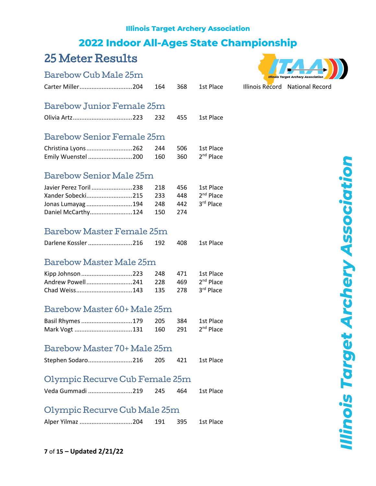## **2022 Indoor All-Ages State Championship**

# <span id="page-6-0"></span>25 Meter Results

#### Barebow Cub Male 25m



| Barebow Junior Female 25m |  |  |
|---------------------------|--|--|

|  | 232 | 455 1st Place |
|--|-----|---------------|
|  |     |               |

#### Barebow Senior Female 25m

| Christina Lyons262 244 506 1st Place              |  |  |
|---------------------------------------------------|--|--|
| Emily Wuenstel  200 160 360 2 <sup>nd</sup> Place |  |  |

#### Barebow Senior Male 25m

| Javier Perez Toril  238 218 456 1st Place        |  |  |
|--------------------------------------------------|--|--|
|                                                  |  |  |
| Jonas Lumayag  194 248 442 3 <sup>rd</sup> Place |  |  |
| Daniel McCarthy124 150 274                       |  |  |

#### Barebow Master Female 25m

| Darlene Kossler  216 192 408 1st Place |  |  |
|----------------------------------------|--|--|
|                                        |  |  |

#### Barebow Master Male 25m

| Kipp Johnson 223 248 471 1st Place |  |  |
|------------------------------------|--|--|
|                                    |  |  |
|                                    |  |  |

#### Barebow Master 60+ Male 25m

| Basil Rhymes 179 205 384 1st Place |  |  |
|------------------------------------|--|--|
|                                    |  |  |

#### Barebow Master 70+ Male 25m

| Stephen Sodaro216 205 421 1st Place |  |  |
|-------------------------------------|--|--|
|                                     |  |  |

#### Olympic Recurve Cub Female 25m

| Veda Gummadi 219<br>1st Place<br>245<br>464 |
|---------------------------------------------|
|---------------------------------------------|

#### Olympic Recurve Cub Male 25m

| Alper Yilmaz 204 | 191 | - 395 | 1st Place |
|------------------|-----|-------|-----------|
|                  |     |       |           |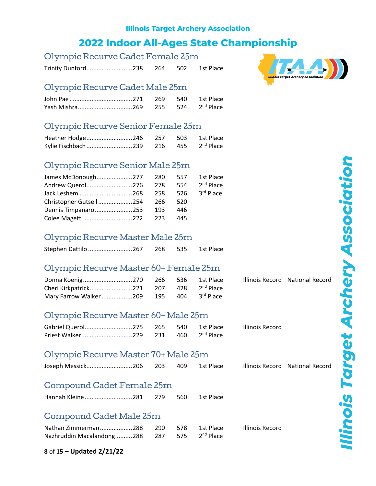### **2022 Indoor All-Ages State Championship**

#### Olympic Recurve Cadet Female 25m

Trinity Dunford...........................238 264 502 1st Place

#### Olympic Recurve Cadet Male 25m

### Olympic Recurve Senior Female 25m

| Heather Hodge246 257 503 1st Place |  |  |
|------------------------------------|--|--|
|                                    |  |  |

#### Olympic Recurve Senior Male 25m

| James McDonough277 280 557 1st Place |  |      |                           |
|--------------------------------------|--|------|---------------------------|
| Andrew Querol276 278                 |  |      | 554 2 <sup>nd</sup> Place |
|                                      |  |      |                           |
| Christopher Gutsell254 266           |  | -520 |                           |
| Dennis Timpanaro253 193              |  | 446  |                           |
|                                      |  | 445  |                           |

#### Olympic Recurve Master Male 25m

| Stephen Dattilo 267 | 268 535 | 1st Place |
|---------------------|---------|-----------|
|                     |         |           |

### Olympic Recurve Master 60+ Female 25m

| Cheri Kirkpatrick 221 207 428 2 <sup>nd</sup> Place |  |  |
|-----------------------------------------------------|--|--|
| Mary Farrow Walker209 195 404 3rd Place             |  |  |

#### Olympic Recurve Master 60+ Male 25m

| Gabriel Querol275 265 540 |  | 1st Place             |
|---------------------------|--|-----------------------|
| Priest Walker229 231 460  |  | 2 <sup>nd</sup> Place |

#### Olympic Recurve Master 70+ Male 25m

| Joseph Messick206 203 409 1st Place |  |  |  |
|-------------------------------------|--|--|--|
|                                     |  |  |  |

#### Compound Cadet Female 25m

| Hannah Kleine 281 | 279 | 560 | 1st Place |
|-------------------|-----|-----|-----------|
|                   |     |     |           |

#### Compound Cadet Male 25m

| Nathan Zimmerman288 290 578 1st Place                   |  |  | Illinois Record |
|---------------------------------------------------------|--|--|-----------------|
| Nazhruddin Macalandong288 287 575 2 <sup>nd</sup> Place |  |  |                 |



Illinois Record

Illinois Record National Record

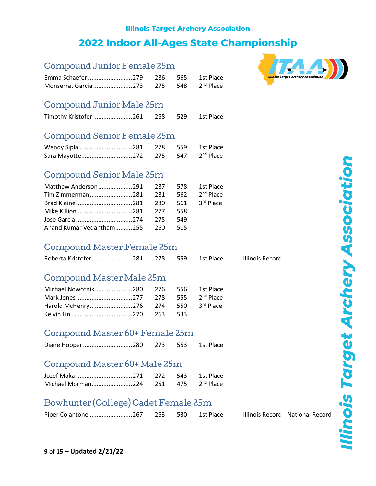| Compound Junior Female 25m                |            |            |                                    |                        |
|-------------------------------------------|------------|------------|------------------------------------|------------------------|
| Emma Schaefer 279<br>Monserrat Garcia 273 | 286<br>275 | 565<br>548 | 1st Place<br>2 <sup>nd</sup> Place |                        |
| Compound Junior Male 25m                  |            |            |                                    |                        |
| Timothy Kristofer 261                     | 268        | 529        | 1st Place                          |                        |
| Compound Senior Female 25m                |            |            |                                    |                        |
| Wendy Sipla 281                           | 278        | 559        | 1st Place                          |                        |
| Sara Mayotte272                           | 275        | 547        | 2 <sup>nd</sup> Place              |                        |
| Compound Senior Male 25m                  |            |            |                                    |                        |
| Matthew Anderson291                       | 287        | 578        | 1st Place                          |                        |
| Tim Zimmerman281                          | 281        | 562        | 2 <sup>nd</sup> Place              |                        |
|                                           | 280        | 561        | 3rd Place                          |                        |
| Mike Killion 281                          | 277        | 558        |                                    |                        |
|                                           | 275        | 549        |                                    |                        |
| Anand Kumar Vedantham255                  | 260        | 515        |                                    |                        |
| Compound Master Female 25m                |            |            |                                    |                        |
| Roberta Kristofer281                      | 278        | 559        | 1st Place                          | <b>Illinois Record</b> |
| Compound Master Male 25m                  |            |            |                                    |                        |
| Michael Nowotnik280                       | 276        | 556        | 1st Place                          |                        |
| Mark Jones 277                            | 278        | 555        | 2 <sup>nd</sup> Place              |                        |
| Harold McHenry276                         | 274        | 550        | 3rd Place                          |                        |
|                                           | 263        | 533        |                                    |                        |
| Compound Master 60+ Female 25m            |            |            |                                    |                        |
| Diane Hooper 280                          | 273        | 553        | 1st Place                          |                        |
| Compound Master 60+ Male 25m              |            |            |                                    |                        |
|                                           | 272        | 543        | 1st Place                          |                        |
| Michael Morman224                         | 251        | 475        | 2 <sup>nd</sup> Place              |                        |

### Bowhunter (College) Cadet Female 25m

| Piper Colantone 267 263 530 1st Place |  |  |  |
|---------------------------------------|--|--|--|
|---------------------------------------|--|--|--|

ce **Illinois Record National Record** 

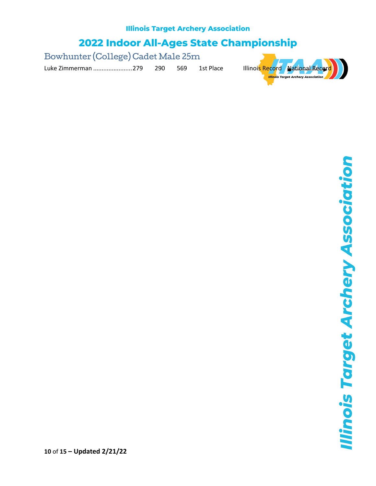2022 Indoor All-Ages State Championship

Bowhunter (College) Cadet Male 25m

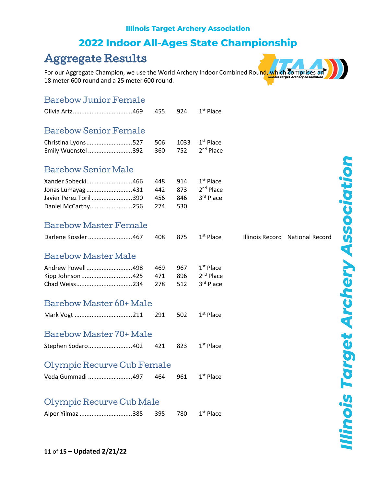# 2022 Indoor All-Ages State Championship

# <span id="page-10-0"></span>Aggregate Results

For our Aggregate Champion, we use the World Archery Indoor Combined Round, which comprises an 18 meter 600 round and a 25 meter 600 round.

#### Barebow Junior Female

|                                                                                        | 455                      | 924                      | $1st$ Place                                       |                                 |
|----------------------------------------------------------------------------------------|--------------------------|--------------------------|---------------------------------------------------|---------------------------------|
| <b>Barebow Senior Female</b>                                                           |                          |                          |                                                   |                                 |
| Christina Lyons527<br>Emily Wuenstel 392                                               | 506<br>360               | 1033<br>752              | $1st$ Place<br>2 <sup>nd</sup> Place              |                                 |
| <b>Barebow Senior Male</b>                                                             |                          |                          |                                                   |                                 |
| Xander Sobecki466<br>Jonas Lumayag 431<br>Javier Perez Toril 390<br>Daniel McCarthy256 | 448<br>442<br>456<br>274 | 914<br>873<br>846<br>530 | $1st$ Place<br>2 <sup>nd</sup> Place<br>3rd Place |                                 |
| <b>Barebow Master Female</b>                                                           |                          |                          |                                                   |                                 |
| Darlene Kossler 467                                                                    | 408                      | 875                      | $1st$ Place                                       | Illinois Record National Record |
| <b>Barebow Master Male</b>                                                             |                          |                          |                                                   |                                 |
| Andrew Powell498<br>Kipp Johnson 425<br>Chad Weiss234                                  | 469<br>471<br>278        | 967<br>896<br>512        | $1st$ Place<br>$2nd$ Place<br>3rd Place           |                                 |
| Barebow Master 60+ Male                                                                |                          |                          |                                                   |                                 |
|                                                                                        | 291                      | 502                      | $1st$ Place                                       |                                 |
| Barebow Master 70+ Male                                                                |                          |                          |                                                   |                                 |
| Stephen Sodaro402                                                                      | 421                      | 823                      | $1st$ Place                                       |                                 |
| Olympic Recurve Cub Female                                                             |                          |                          |                                                   |                                 |
| Veda Gummadi 497                                                                       | 464                      | 961                      | $1st$ Place                                       |                                 |
| Olympic Recurve Cub Male                                                               |                          |                          |                                                   |                                 |
| Alper Yilmaz 385                                                                       | 395                      | 780                      | $1st$ Place                                       |                                 |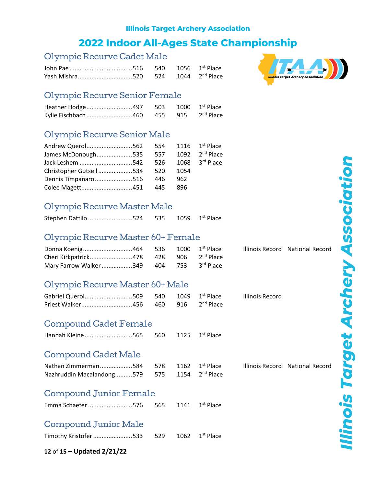### **2022 Indoor All-Ages State Championship**

#### Olympic Recurve Cadet Male

| Yash Mishra520 524 1044 2 <sup>nd</sup> Place |  |  |
|-----------------------------------------------|--|--|



#### Olympic Recurve Senior Female

| Kylie Fischbach460 455 915 2 <sup>nd</sup> Place |  |  |
|--------------------------------------------------|--|--|

#### Olympic Recurve Senior Male

| Andrew Querol562 554 1116 1st Place               |  |      |                              |
|---------------------------------------------------|--|------|------------------------------|
| James McDonough535 557 1092 2 <sup>nd</sup> Place |  |      |                              |
| Jack Leshem 542 526                               |  |      | $1068$ 3 <sup>rd</sup> Place |
| Christopher Gutsell534 520                        |  | 1054 |                              |
| Dennis Timpanaro516 446                           |  | 962  |                              |
|                                                   |  | -896 |                              |

#### Olympic Recurve Master Male

| Stephen Dattilo 524 535 1059 1st Place |  |  |  |
|----------------------------------------|--|--|--|
|----------------------------------------|--|--|--|

#### Olympic Recurve Master 60+ Female

|                                          |  |  | Illinois Record National Record |
|------------------------------------------|--|--|---------------------------------|
|                                          |  |  |                                 |
| Mary Farrow Walker 349 404 753 3rd Place |  |  |                                 |

#### Olympic Recurve Master 60+ Male

| Gabriel Querol509 540 1049 1 <sup>st</sup> Place |  |  | Illinois Record |
|--------------------------------------------------|--|--|-----------------|
|                                                  |  |  |                 |

#### Compound Cadet Female

| Hannah Kleine565 560 1125 1 <sup>st</sup> Place |  |  |
|-------------------------------------------------|--|--|
|                                                 |  |  |

#### Compound Cadet Male

| Nathan Zimmerman584 578 1162 1st Place                   |  |  |
|----------------------------------------------------------|--|--|
| Nazhruddin Macalandong579 575 1154 2 <sup>nd</sup> Place |  |  |

52 1st Place Illinois Record National Record

#### Compound Junior Female

| Emma Schaefer 576 | 565 | 1141 $1^{\text{st}}$ Place |
|-------------------|-----|----------------------------|
|                   |     |                            |

### Compound Junior Male

| Timothy Kristofer 533 529 1062 1 <sup>st</sup> Place |  |  |
|------------------------------------------------------|--|--|
|                                                      |  |  |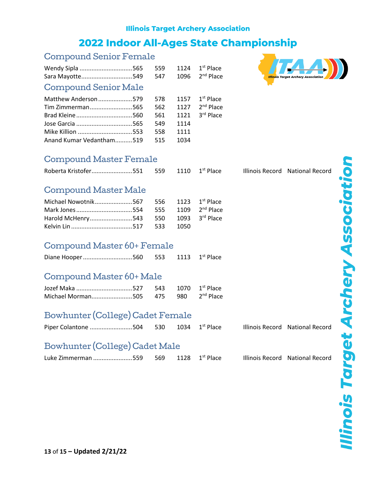# 2022 Indoor All-Ages State Championship

#### Compound Senior Female

| Wendy Sipla 565             | 559 | 1124 | $1st$ Place |
|-----------------------------|-----|------|-------------|
| Sara Mayotte549             | 547 | 1096 | $2nd$ Place |
| <b>Compound Senior Male</b> |     |      |             |
| Matthew Anderson579         | 578 | 1157 | $1st$ Place |
| Tim Zimmerman565            | 562 | 1127 | $2nd$ Place |
|                             | 561 | 1121 | 3rd Place   |
| Jose Garcia 565             | 549 | 1114 |             |
| Mike Killion 553            | 558 | 1111 |             |
| Anand Kumar Vedantham519    | 515 | 1034 |             |
|                             |     |      |             |



| Compound Master Female                                     |                          |                              |                                         |  |                                 |  |  |
|------------------------------------------------------------|--------------------------|------------------------------|-----------------------------------------|--|---------------------------------|--|--|
| Roberta Kristofer551                                       | 559                      | 1110                         | $1st$ Place                             |  | Illinois Record National Record |  |  |
| <b>Compound Master Male</b>                                |                          |                              |                                         |  |                                 |  |  |
| Michael Nowotnik567<br>Mark Jones 554<br>Harold McHenry543 | 556<br>555<br>550<br>533 | 1123<br>1109<br>1093<br>1050 | $1st$ Place<br>$2nd$ Place<br>3rd Place |  |                                 |  |  |
| Compound Master 60+ Female                                 |                          |                              |                                         |  |                                 |  |  |
| Diane Hooper560                                            | 553                      | 1113                         | $1st$ Place                             |  |                                 |  |  |
| Compound Master 60+ Male                                   |                          |                              |                                         |  |                                 |  |  |
| Michael Morman505                                          | 543<br>475               | 1070<br>980                  | $1st$ Place<br>$2nd$ Place              |  |                                 |  |  |
| Bowhunter (College) Cadet Female                           |                          |                              |                                         |  |                                 |  |  |
| Piper Colantone 504                                        | 530                      | 1034                         | $1st$ Place                             |  | Illinois Record National Record |  |  |
| Bowhunter (College) Cadet Male                             |                          |                              |                                         |  |                                 |  |  |
| Luke Zimmerman 559                                         | 569                      | 1128                         | $1st$ Place                             |  | Illinois Record National Record |  |  |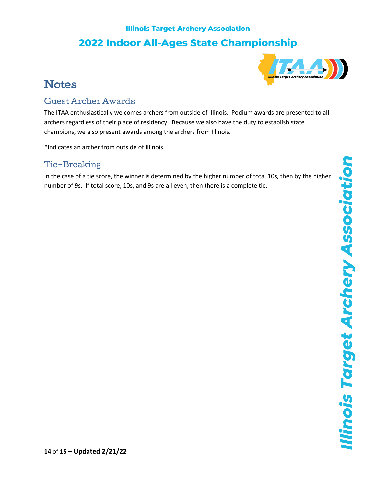

# <span id="page-13-0"></span>**Notes**

#### Guest Archer Awards

The ITAA enthusiastically welcomes archers from outside of Illinois. Podium awards are presented to all archers regardless of their place of residency. Because we also have the duty to establish state champions, we also present awards among the archers from Illinois.

\*Indicates an archer from outside of Illinois.

### Tie-Breaking

In the case of a tie score, the winner is determined by the higher number of total 10s, then by the higher number of 9s. If total score, 10s, and 9s are all even, then there is a complete tie.